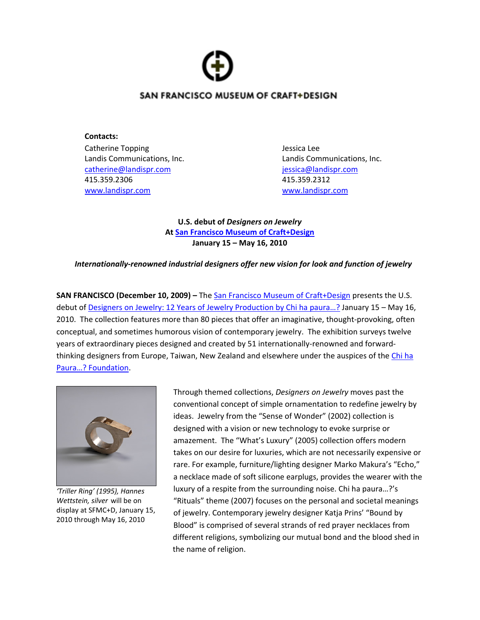# SAN FRANCISCO MUSEUM OF CRAFT+DESIGN

**Contacts:** Catherine Topping **Catherine Topping 1999** catherine@landispr.com jessica@landispr.com 415.359.2306 415.359.2312 www.landispr.com www.landispr.com

Landis Communications, Inc. Landis Communications, Inc.

**U.S. debut of** *Designers on Jewelry* **At San Francisco Museum of Craft+Design January 15 – May 16, 2010**

# *Internationally‐renowned industrial designers offer new vision for look and function of jewelry*

**SAN FRANCISCO (December 10, 2009) –** The San Francisco Museum of Craft+Design presents the U.S. debut of Designers on Jewelry: 12 Years of Jewelry Production by Chi ha paura…? January 15 – May 16, 2010. The collection features more than 80 pieces that offer an imaginative, thought‐provoking, often conceptual, and sometimes humorous vision of contemporary jewelry. The exhibition surveys twelve years of extraordinary pieces designed and created by 51 internationally-renowned and forwardthinking designers from Europe, Taiwan, New Zealand and elsewhere under the auspices of the Chi ha Paura…? Foundation.



*'Triller Ring' (1995), Hannes Wettstein, silver* will be on display at SFMC+D, January 15, 2010 through May 16, 2010

Through themed collections, *Designers on Jewelry* moves past the conventional concept of simple ornamentation to redefine jewelry by ideas. Jewelry from the "Sense of Wonder" (2002) collection is designed with a vision or new technology to evoke surprise or amazement. The "What's Luxury" (2005) collection offers modern takes on our desire for luxuries, which are not necessarily expensive or rare. For example, furniture/lighting designer Marko Makura's "Echo," a necklace made of soft silicone earplugs, provides the wearer with the luxury of a respite from the surrounding noise. Chi ha paura…?'s "Rituals" theme (2007) focuses on the personal and societal meanings of jewelry. Contemporary jewelry designer Katja Prins' "Bound by Blood" is comprised of several strands of red prayer necklaces from different religions, symbolizing our mutual bond and the blood shed in the name of religion.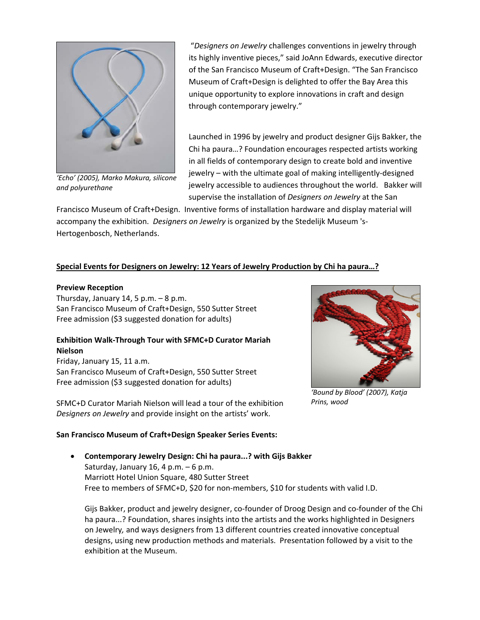

*'Echo' (2005), Marko Makura, silicone and polyurethane*

"*Designers on Jewelry* challenges conventions in jewelry through its highly inventive pieces," said JoAnn Edwards, executive director of the San Francisco Museum of Craft+Design. "The San Francisco Museum of Craft+Design is delighted to offer the Bay Area this unique opportunity to explore innovations in craft and design through contemporary jewelry."

Launched in 1996 by jewelry and product designer Gijs Bakker, the Chi ha paura…? Foundation encourages respected artists working in all fields of contemporary design to create bold and inventive jewelry – with the ultimate goal of making intelligently‐designed jewelry accessible to audiences throughout the world. Bakker will supervise the installation of *Designers on Jewelry* at the San

Francisco Museum of Craft+Design. Inventive forms of installation hardware and display material will accompany the exhibition. *Designers on Jewelry* is organized by the Stedelijk Museum 's‐ Hertogenbosch, Netherlands.

# **Special Events for Designers on Jewelry: 12 Years of Jewelry Production by Chi ha paura…?**

#### **Preview Reception**

Thursday, January 14, 5 p.m.  $-8$  p.m. San Francisco Museum of Craft+Design, 550 Sutter Street Free admission (\$3 suggested donation for adults)

# **Exhibition Walk‐Through Tour with SFMC+D Curator Mariah Nielson**

Friday, January 15, 11 a.m. San Francisco Museum of Craft+Design, 550 Sutter Street Free admission (\$3 suggested donation for adults)

SFMC+D Curator Mariah Nielson will lead a tour of the exhibition *Designers on Jewelry* and provide insight on the artists' work.

# **San Francisco Museum of Craft+Design Speaker Series Events:**



*'Bound by Blood' (2007), Katja Prins, wood*

# • **Contemporary Jewelry Design: Chi ha paura...? with Gijs Bakker** Saturday, January 16, 4 p.m.  $-6$  p.m. Marriott Hotel Union Square, 480 Sutter Street Free to members of SFMC+D, \$20 for non-members, \$10 for students with valid I.D.

Gijs Bakker, product and jewelry designer, co‐founder of Droog Design and co‐founder of the Chi ha paura...? Foundation, shares insights into the artists and the works highlighted in Designers on Jewelry*,* and ways designers from 13 different countries created innovative conceptual designs, using new production methods and materials. Presentation followed by a visit to the exhibition at the Museum.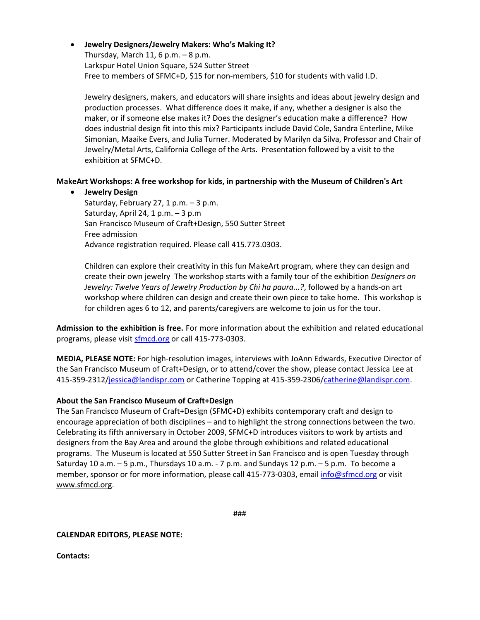• **Jewelry Designers/Jewelry Makers: Who's Making It?** Thursday, March 11, 6 p.m.  $-8$  p.m. Larkspur Hotel Union Square, 524 Sutter Street Free to members of SFMC+D, \$15 for non-members, \$10 for students with valid I.D.

Jewelry designers, makers, and educators will share insights and ideas about jewelry design and production processes. What difference does it make, if any, whether a designer is also the maker, or if someone else makes it? Does the designer's education make a difference? How does industrial design fit into this mix? Participants include David Cole, Sandra Enterline, Mike Simonian, Maaike Evers, and Julia Turner. Moderated by Marilyn da Silva, Professor and Chair of Jewelry/Metal Arts, California College of the Arts. Presentation followed by a visit to the exhibition at SFMC+D.

# **MakeArt Workshops: A free workshop for kids, in partnership with the Museum of Children's Art**

• **Jewelry Design**

Saturday, February 27, 1 p.m. – 3 p.m. Saturday, April 24, 1 p.m. – 3 p.m San Francisco Museum of Craft+Design, 550 Sutter Street Free admission Advance registration required. Please call 415.773.0303.

Children can explore their creativity in this fun MakeArt program, where they can design and create their own jewelry The workshop starts with a family tour of the exhibition *Designers on Jewelry: Twelve Years of Jewelry Production by Chi ha paura...?*, followed by a hands‐on art workshop where children can design and create their own piece to take home. This workshop is for children ages 6 to 12, and parents/caregivers are welcome to join us for the tour.

**Admission to the exhibition is free.** For more information about the exhibition and related educational programs, please visit sfmcd.org or call 415-773-0303.

**MEDIA, PLEASE NOTE:** For high‐resolution images, interviews with JoAnn Edwards, Executive Director of the San Francisco Museum of Craft+Design, or to attend/cover the show, please contact Jessica Lee at 415‐359‐2312/jessica@landispr.com or Catherine Topping at 415‐359‐2306/catherine@landispr.com.

# **About the San Francisco Museum of Craft+Design**

The San Francisco Museum of Craft+Design (SFMC+D) exhibits contemporary craft and design to encourage appreciation of both disciplines – and to highlight the strong connections between the two. Celebrating its fifth anniversary in October 2009, SFMC+D introduces visitors to work by artists and designers from the Bay Area and around the globe through exhibitions and related educational programs. The Museum is located at 550 Sutter Street in San Francisco and is open Tuesday through Saturday 10 a.m. – 5 p.m., Thursdays 10 a.m. ‐ 7 p.m. and Sundays 12 p.m. – 5 p.m. To become a member, sponsor or for more information, please call 415-773-0303, email info@sfmcd.org or visit www.sfmcd.org.

###

#### **CALENDAR EDITORS, PLEASE NOTE:**

**Contacts:**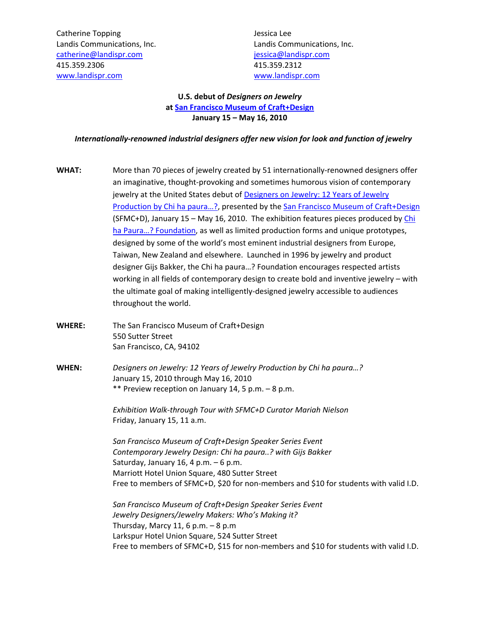Catherine Topping **Catherine Topping 1999** catherine@landispr.com jessica@landispr.com 415.359.2306 415.359.2312 www.landispr.com **WALLACE IN THE WALLACE IN THE WALLACE IN THE WALLACE IN THE WALLACE IN THE WALLACE IN THE WALLACE I** 

Landis Communications, Inc. Landis Communications, Inc.

# **U.S. debut of** *Designers on Jewelry* **at San Francisco Museum of Craft+Design January 15 – May 16, 2010**

#### *Internationally‐renowned industrial designers offer new vision for look and function of jewelry*

- **WHAT:** More than 70 pieces of jewelry created by 51 internationally-renowned designers offer an imaginative, thought‐provoking and sometimes humorous vision of contemporary jewelry at the United States debut of Designers on Jewelry: 12 Years of Jewelry Production by Chi ha paura...?, presented by the San Francisco Museum of Craft+Design (SFMC+D), January 15 – May 16, 2010. The exhibition features pieces produced by Chi ha Paura…? Foundation, as well as limited production forms and unique prototypes, designed by some of the world's most eminent industrial designers from Europe, Taiwan, New Zealand and elsewhere. Launched in 1996 by jewelry and product designer Gijs Bakker, the Chi ha paura…? Foundation encourages respected artists working in all fields of contemporary design to create bold and inventive jewelry – with the ultimate goal of making intelligently‐designed jewelry accessible to audiences throughout the world.
- **WHERE:** The San Francisco Museum of Craft+Design 550 Sutter Street San Francisco, CA, 94102
- **WHEN:**  *Designers on Jewelry: 12 Years of Jewelry Production by Chi ha paura…?*  January 15, 2010 through May 16, 2010 \*\* Preview reception on January 14, 5 p.m. – 8 p.m.

*Exhibition Walk‐through Tour with SFMC+D Curator Mariah Nielson* Friday, January 15, 11 a.m.

*San Francisco Museum of Craft+Design Speaker Series Event Contemporary Jewelry Design: Chi ha paura..? with Gijs Bakker* Saturday, January 16, 4 p.m. – 6 p.m. Marriott Hotel Union Square, 480 Sutter Street Free to members of SFMC+D, \$20 for non-members and \$10 for students with valid I.D.

*San Francisco Museum of Craft+Design Speaker Series Event Jewelry Designers/Jewelry Makers: Who's Making it?* Thursday, Marcy 11, 6 p.m.  $-8$  p.m Larkspur Hotel Union Square, 524 Sutter Street Free to members of SFMC+D, \$15 for non-members and \$10 for students with valid I.D.